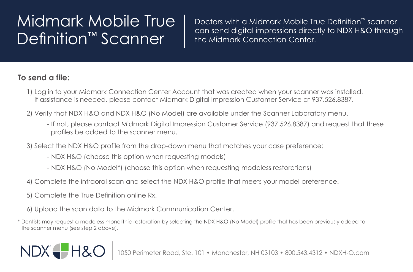## Midmark Mobile True Definition<sup>™</sup> Scanner

Doctors with a Midmark Mobile True Definition™ scanner can send digital impressions directly to NDX H&O through the Midmark Connection Center.

## **To send a file:**

- 1) Log in to your Midmark Connection Center Account that was created when your scanner was installed. If assistance is needed, please contact Midmark Digital Impression Customer Service at 937.526.8387.
- 2) Verify that NDX H&O and NDX H&O (No Model) are available under the Scanner Laboratory menu.
	- If not, please contact Midmark Digital Impression Customer Service (937.526.8387) and request that these profiles be added to the scanner menu.
- 3) Select the NDX H&O profile from the drop-down menu that matches your case preference:
	- NDX H&O (choose this option when requesting models)
	- NDX H&O (No Model\*) (choose this option when requesting modeless restorations)
- 4) Complete the intraoral scan and select the NDX H&O profile that meets your model preference.
- 5) Complete the True Definition online Rx.
- 6) Upload the scan data to the Midmark Communication Center.
- \* Dentists may request a modeless monolithic restoration by selecting the NDX H&O (No Model) profile that has been previously added to the scanner menu (see step 2 above).

## NDX<sup>-</sup>H&C